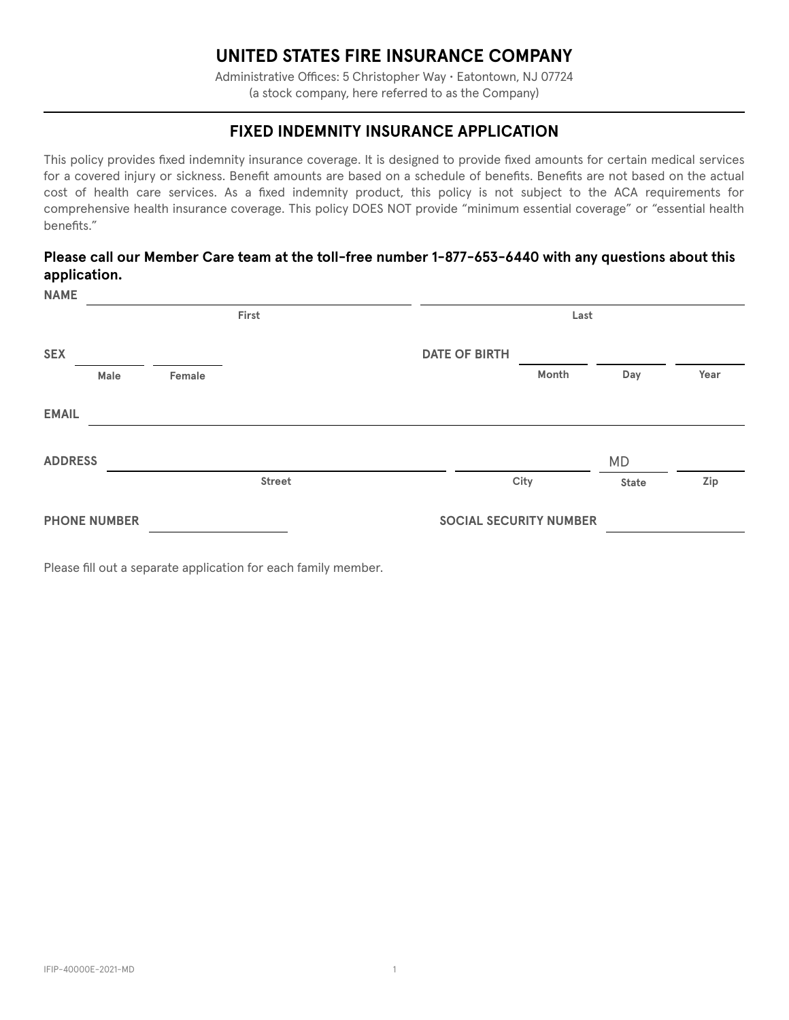# **UNITED STATES FIRE INSURANCE COMPANY**

Administrative Offices: 5 Christopher Way • Eatontown, NJ 07724 (a stock company, here referred to as the Company)

## **FIXED INDEMNITY INSURANCE APPLICATION**

This policy provides fixed indemnity insurance coverage. It is designed to provide fixed amounts for certain medical services for a covered injury or sickness. Benefit amounts are based on a schedule of benefits. Benefits are not based on the actual cost of health care services. As a fixed indemnity product, this policy is not subject to the ACA requirements for comprehensive health insurance coverage. This policy DOES NOT provide "minimum essential coverage" or "essential health benefits."

#### **Please call our Member Care team at the toll-free number 1-877-653-6440 with any questions about this application.**

| <b>NAME</b>         |       |                               |               |                      |       |              |      |
|---------------------|-------|-------------------------------|---------------|----------------------|-------|--------------|------|
|                     | First |                               |               | Last                 |       |              |      |
| <b>SEX</b>          |       |                               |               | <b>DATE OF BIRTH</b> |       |              |      |
|                     | Male  | Female                        |               |                      | Month | Day          | Year |
| <b>EMAIL</b>        |       |                               |               |                      |       |              |      |
| <b>ADDRESS</b>      |       |                               |               |                      |       | <b>MD</b>    |      |
|                     |       |                               | <b>Street</b> |                      | City  | <b>State</b> | Zip  |
| <b>PHONE NUMBER</b> |       | <b>SOCIAL SECURITY NUMBER</b> |               |                      |       |              |      |

Please fill out a separate application for each family member.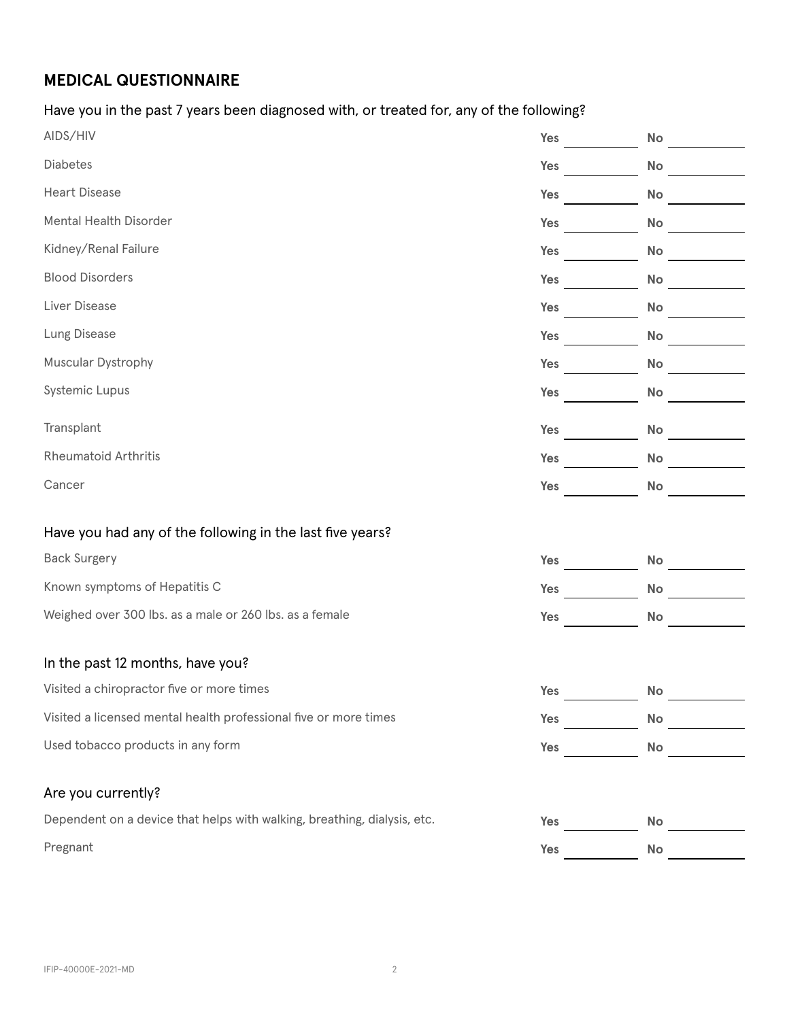# **MEDICAL QUESTIONNAIRE**

Have you in the past 7 years been diagnosed with, or treated for, any of the following?

| AIDS/HIV                                                                 | Yes | No        |
|--------------------------------------------------------------------------|-----|-----------|
| Diabetes                                                                 | Yes | No        |
| <b>Heart Disease</b>                                                     | Yes | No        |
| Mental Health Disorder                                                   | Yes | <b>No</b> |
| Kidney/Renal Failure                                                     | Yes | No        |
| <b>Blood Disorders</b>                                                   | Yes | No        |
| Liver Disease                                                            | Yes | No        |
| Lung Disease                                                             | Yes | No        |
| Muscular Dystrophy                                                       | Yes | No        |
| Systemic Lupus                                                           | Yes | No        |
| Transplant                                                               | Yes | No        |
| <b>Rheumatoid Arthritis</b>                                              | Yes | No        |
| Cancer                                                                   | Yes | No        |
|                                                                          |     |           |
| Have you had any of the following in the last five years?                |     |           |
| <b>Back Surgery</b>                                                      | Yes | No        |
| Known symptoms of Hepatitis C                                            | Yes | No        |
| Weighed over 300 lbs. as a male or 260 lbs. as a female                  | Yes | <b>No</b> |
| In the past 12 months, have you?                                         |     |           |
| Visited a chiropractor five or more times                                | Yes | No        |
| Visited a licensed mental health professional five or more times         | Yes | <b>No</b> |
| Used tobacco products in any form                                        | Yes | No        |
|                                                                          |     |           |
| Are you currently?                                                       |     |           |
| Dependent on a device that helps with walking, breathing, dialysis, etc. | Yes | No        |
| Pregnant                                                                 | Yes | No        |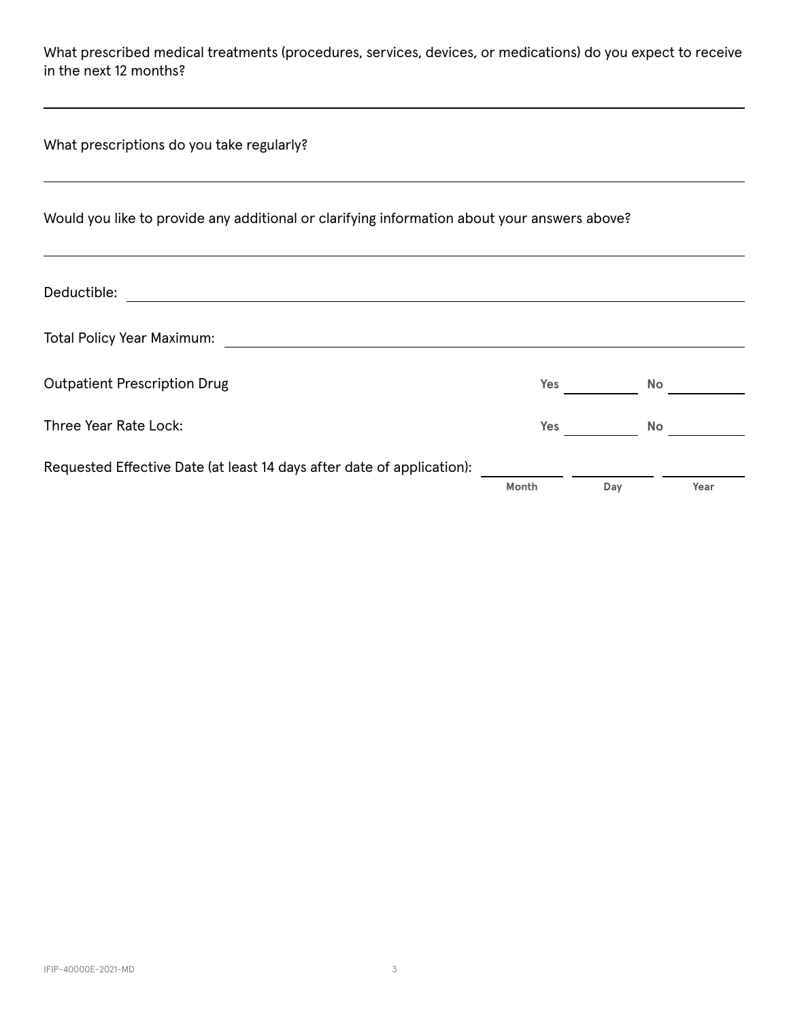What prescribed medical treatments (procedures, services, devices, or medications) do you expect to receive in the next 12 months?

| What prescriptions do you take regularly?                                                    |       |     |      |
|----------------------------------------------------------------------------------------------|-------|-----|------|
| Would you like to provide any additional or clarifying information about your answers above? |       |     |      |
| Deductible:                                                                                  |       |     |      |
| <b>Total Policy Year Maximum:</b>                                                            |       |     |      |
| <b>Outpatient Prescription Drug</b>                                                          | Yes   |     | No   |
| Three Year Rate Lock:                                                                        | Yes   |     | No   |
| Requested Effective Date (at least 14 days after date of application):                       | Month | Day | Year |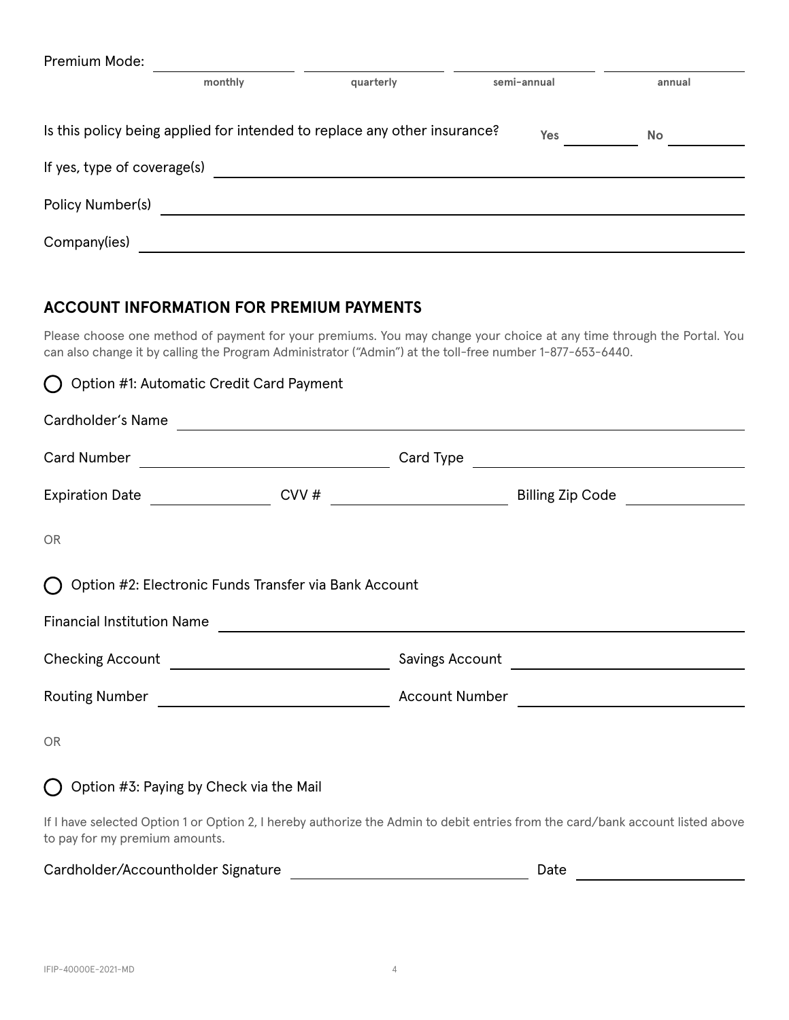| Premium Mode:               |         |                                                                           |             |           |
|-----------------------------|---------|---------------------------------------------------------------------------|-------------|-----------|
|                             | monthly | quarterly                                                                 | semi-annual | annual    |
|                             |         | Is this policy being applied for intended to replace any other insurance? | Yes         | <b>No</b> |
| If yes, type of coverage(s) |         |                                                                           |             |           |
| Policy Number(s)            |         |                                                                           |             |           |
| Company(ies)                |         |                                                                           |             |           |

## **ACCOUNT INFORMATION FOR PREMIUM PAYMENTS**

Please choose one method of payment for your premiums. You may change your choice at any time through the Portal. You can also change it by calling the Program Administrator ("Admin") at the toll-free number 1-877-653-6440.

| ◯ Option #1: Automatic Credit Card Payment               |  |                                                                                                                                |
|----------------------------------------------------------|--|--------------------------------------------------------------------------------------------------------------------------------|
|                                                          |  | Cardholder's Name                                                                                                              |
|                                                          |  |                                                                                                                                |
|                                                          |  |                                                                                                                                |
| <b>OR</b>                                                |  |                                                                                                                                |
| () Option #2: Electronic Funds Transfer via Bank Account |  |                                                                                                                                |
|                                                          |  |                                                                                                                                |
|                                                          |  |                                                                                                                                |
|                                                          |  |                                                                                                                                |
| <b>OR</b>                                                |  |                                                                                                                                |
| $\bigcap$ Option #3: Paying by Check via the Mail        |  |                                                                                                                                |
|                                                          |  | If I have selected Option 1 or Option 2, I hereby authorize the Admin to debit entries from the card/bank account listed above |

Cardholder/Accountholder Signature **Date** Date

to pay for my premium amounts.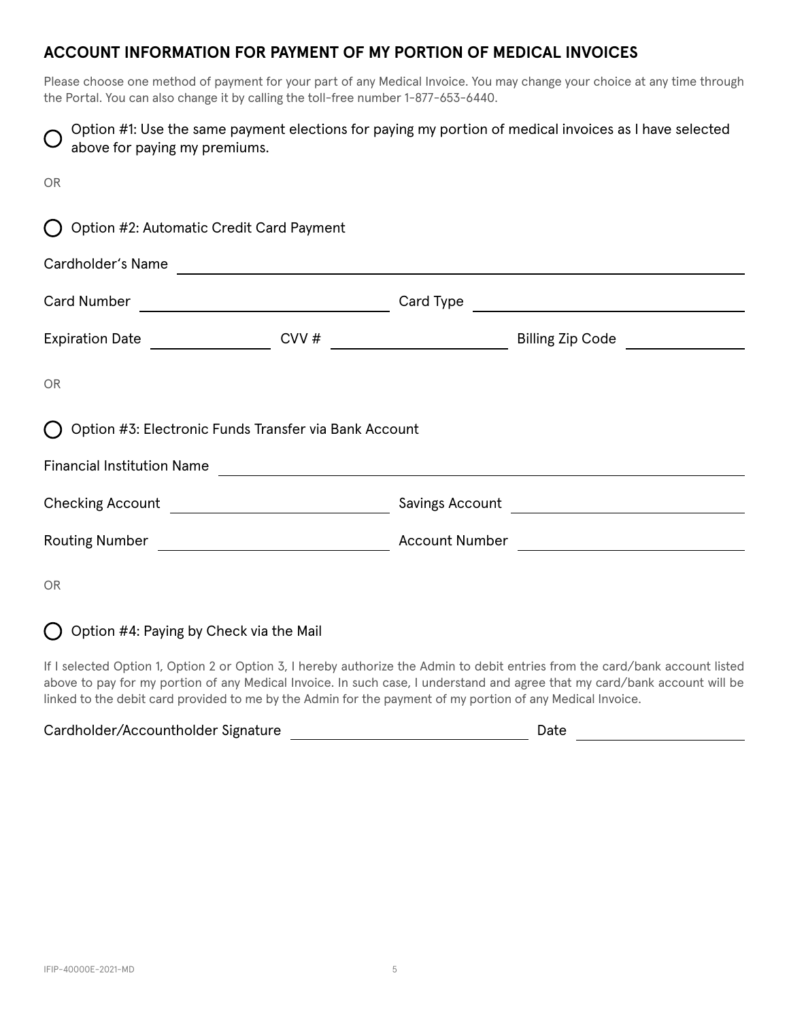## **ACCOUNT INFORMATION FOR PAYMENT OF MY PORTION OF MEDICAL INVOICES**

Please choose one method of payment for your part of any Medical Invoice. You may change your choice at any time through the Portal. You can also change it by calling the toll-free number 1-877-653-6440.

| above for paying my premiums.                           | Option #1: Use the same payment elections for paying my portion of medical invoices as I have selected                                                                                                                                                        |  |  |  |  |
|---------------------------------------------------------|---------------------------------------------------------------------------------------------------------------------------------------------------------------------------------------------------------------------------------------------------------------|--|--|--|--|
| <b>OR</b>                                               |                                                                                                                                                                                                                                                               |  |  |  |  |
| Option #2: Automatic Credit Card Payment                |                                                                                                                                                                                                                                                               |  |  |  |  |
| Cardholder's Name                                       |                                                                                                                                                                                                                                                               |  |  |  |  |
|                                                         |                                                                                                                                                                                                                                                               |  |  |  |  |
| Expiration Date                                         | CVV # $\qquad \qquad$<br>Billing Zip Code <b>Communist Contract Contract Contract Contract Contract Contract Contract Contract Contract Contract Contract Contract Contract Contract Contract Contract Contract Contract Contract Contract Contract Contr</b> |  |  |  |  |
| <b>OR</b>                                               |                                                                                                                                                                                                                                                               |  |  |  |  |
| Option #3: Electronic Funds Transfer via Bank Account   |                                                                                                                                                                                                                                                               |  |  |  |  |
| <b>Financial Institution Name</b>                       | <u> 1989 - Johann Barnett, fransk politiker (d. 1989)</u>                                                                                                                                                                                                     |  |  |  |  |
| Checking Account <u>_______________________________</u> |                                                                                                                                                                                                                                                               |  |  |  |  |
|                                                         |                                                                                                                                                                                                                                                               |  |  |  |  |
| <b>OR</b>                                               |                                                                                                                                                                                                                                                               |  |  |  |  |

 $\bigcap$  Option #4: Paying by Check via the Mail

If I selected Option 1, Option 2 or Option 3, I hereby authorize the Admin to debit entries from the card/bank account listed above to pay for my portion of any Medical Invoice. In such case, I understand and agree that my card/bank account will be linked to the debit card provided to me by the Admin for the payment of my portion of any Medical Invoice.

| Cardholder/Accountholder Signature | Date |  |
|------------------------------------|------|--|
|------------------------------------|------|--|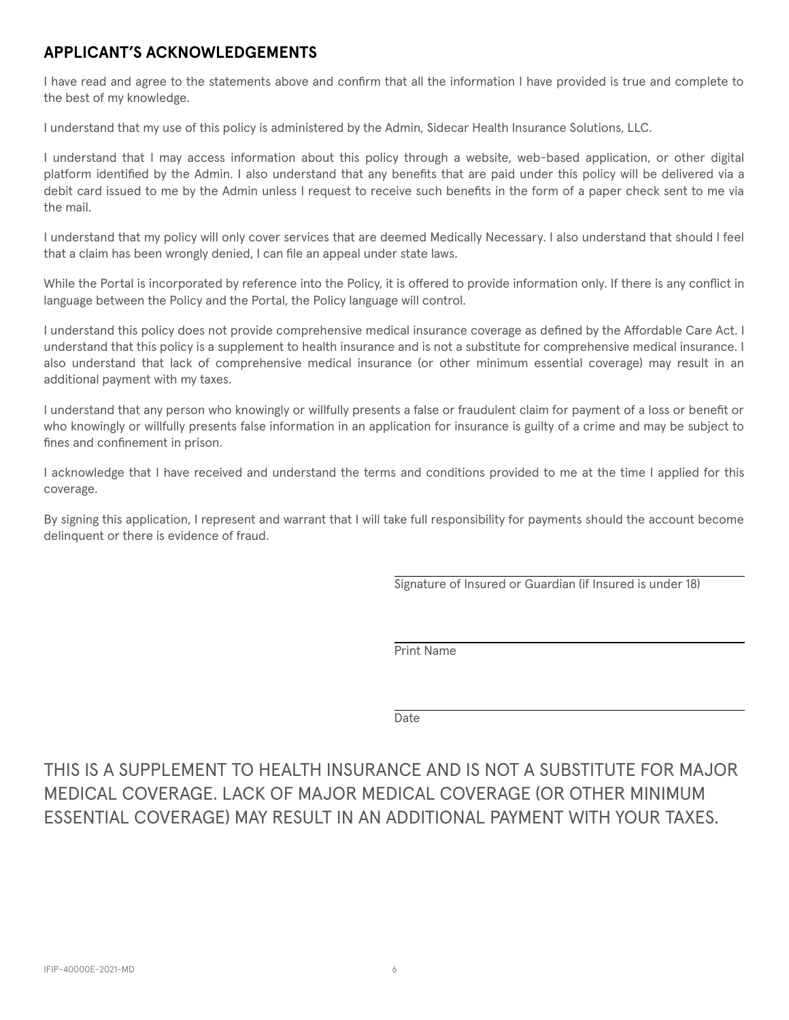## **APPLICANT'S ACKNOWLEDGEMENTS**

I have read and agree to the statements above and confirm that all the information I have provided is true and complete to the best of my knowledge.

I understand that my use of this policy is administered by the Admin, Sidecar Health Insurance Solutions, LLC.

I understand that I may access information about this policy through a website, web-based application, or other digital platform identified by the Admin. I also understand that any benefits that are paid under this policy will be delivered via a debit card issued to me by the Admin unless I request to receive such benefits in the form of a paper check sent to me via the mail.

I understand that my policy will only cover services that are deemed Medically Necessary. I also understand that should I feel that a claim has been wrongly denied, I can file an appeal under state laws.

While the Portal is incorporated by reference into the Policy, it is offered to provide information only. If there is any conflict in language between the Policy and the Portal, the Policy language will control.

I understand this policy does not provide comprehensive medical insurance coverage as defined by the Affordable Care Act. I understand that this policy is a supplement to health insurance and is not a substitute for comprehensive medical insurance. I also understand that lack of comprehensive medical insurance (or other minimum essential coverage) may result in an additional payment with my taxes.

I understand that any person who knowingly or willfully presents a false or fraudulent claim for payment of a loss or benefit or who knowingly or willfully presents false information in an application for insurance is guilty of a crime and may be subject to fines and confinement in prison.

I acknowledge that I have received and understand the terms and conditions provided to me at the time I applied for this coverage.

By signing this application, I represent and warrant that I will take full responsibility for payments should the account become delinquent or there is evidence of fraud.

Signature of Insured or Guardian (if Insured is under 18)

Print Name

Date

# THIS IS A SUPPLEMENT TO HEALTH INSURANCE AND IS NOT A SUBSTITUTE FOR MAJOR MEDICAL COVERAGE. LACK OF MAJOR MEDICAL COVERAGE (OR OTHER MINIMUM ESSENTIAL COVERAGE) MAY RESULT IN AN ADDITIONAL PAYMENT WITH YOUR TAXES.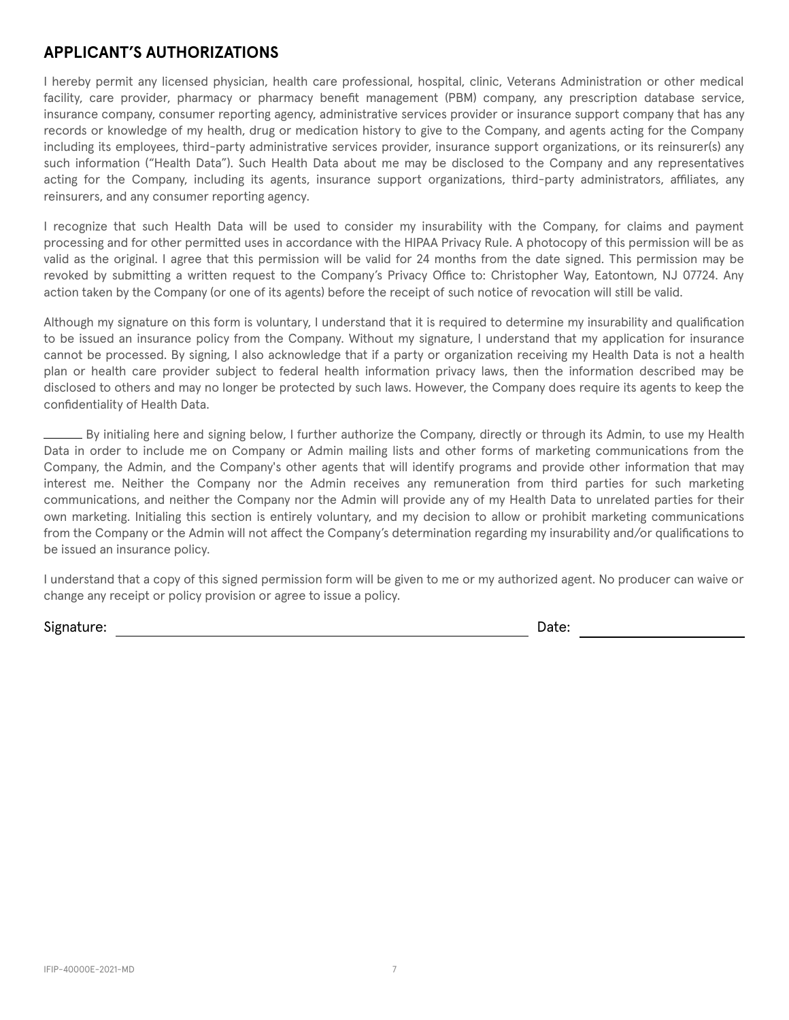#### **APPLICANT'S AUTHORIZATIONS**

I hereby permit any licensed physician, health care professional, hospital, clinic, Veterans Administration or other medical facility, care provider, pharmacy or pharmacy benefit management (PBM) company, any prescription database service, insurance company, consumer reporting agency, administrative services provider or insurance support company that has any records or knowledge of my health, drug or medication history to give to the Company, and agents acting for the Company including its employees, third-party administrative services provider, insurance support organizations, or its reinsurer(s) any such information ("Health Data"). Such Health Data about me may be disclosed to the Company and any representatives acting for the Company, including its agents, insurance support organizations, third-party administrators, affiliates, any reinsurers, and any consumer reporting agency.

I recognize that such Health Data will be used to consider my insurability with the Company, for claims and payment processing and for other permitted uses in accordance with the HIPAA Privacy Rule. A photocopy of this permission will be as valid as the original. I agree that this permission will be valid for 24 months from the date signed. This permission may be revoked by submitting a written request to the Company's Privacy Office to: Christopher Way, Eatontown, NJ 07724. Any action taken by the Company (or one of its agents) before the receipt of such notice of revocation will still be valid.

Although my signature on this form is voluntary, I understand that it is required to determine my insurability and qualification to be issued an insurance policy from the Company. Without my signature, I understand that my application for insurance cannot be processed. By signing, I also acknowledge that if a party or organization receiving my Health Data is not a health plan or health care provider subject to federal health information privacy laws, then the information described may be disclosed to others and may no longer be protected by such laws. However, the Company does require its agents to keep the confidentiality of Health Data.

By initialing here and signing below, I further authorize the Company, directly or through its Admin, to use my Health Data in order to include me on Company or Admin mailing lists and other forms of marketing communications from the Company, the Admin, and the Company's other agents that will identify programs and provide other information that may interest me. Neither the Company nor the Admin receives any remuneration from third parties for such marketing communications, and neither the Company nor the Admin will provide any of my Health Data to unrelated parties for their own marketing. Initialing this section is entirely voluntary, and my decision to allow or prohibit marketing communications from the Company or the Admin will not affect the Company's determination regarding my insurability and/or qualifications to be issued an insurance policy.

I understand that a copy of this signed permission form will be given to me or my authorized agent. No producer can waive or change any receipt or policy provision or agree to issue a policy.

Signature: Date: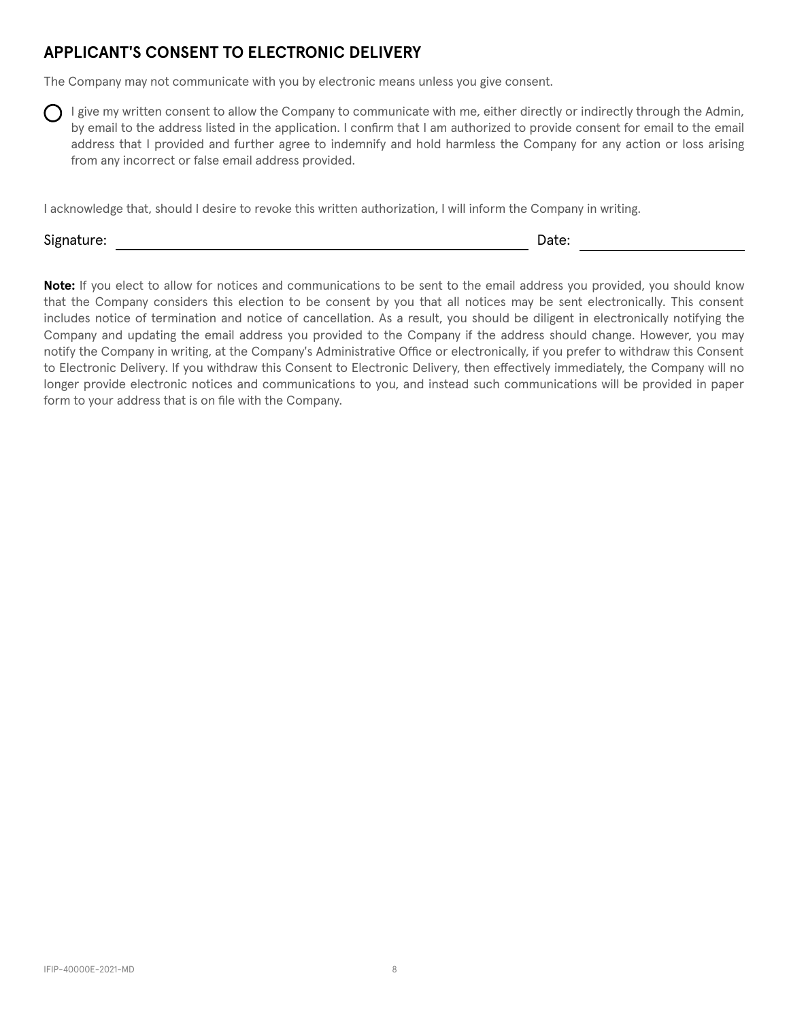## **APPLICANT'S CONSENT TO ELECTRONIC DELIVERY**

The Company may not communicate with you by electronic means unless you give consent.

I give my written consent to allow the Company to communicate with me, either directly or indirectly through the Admin, by email to the address listed in the application. I confirm that I am authorized to provide consent for email to the email address that I provided and further agree to indemnify and hold harmless the Company for any action or loss arising from any incorrect or false email address provided.

I acknowledge that, should I desire to revoke this written authorization, I will inform the Company in writing.

Signature: Date: Description of the contract of the contract of the contract of the contract of the contract of the contract of the contract of the contract of the contract of the contract of the contract of the contract o

**Note:** If you elect to allow for notices and communications to be sent to the email address you provided, you should know that the Company considers this election to be consent by you that all notices may be sent electronically. This consent includes notice of termination and notice of cancellation. As a result, you should be diligent in electronically notifying the Company and updating the email address you provided to the Company if the address should change. However, you may notify the Company in writing, at the Company's Administrative Office or electronically, if you prefer to withdraw this Consent to Electronic Delivery. If you withdraw this Consent to Electronic Delivery, then effectively immediately, the Company will no longer provide electronic notices and communications to you, and instead such communications will be provided in paper form to your address that is on file with the Company.